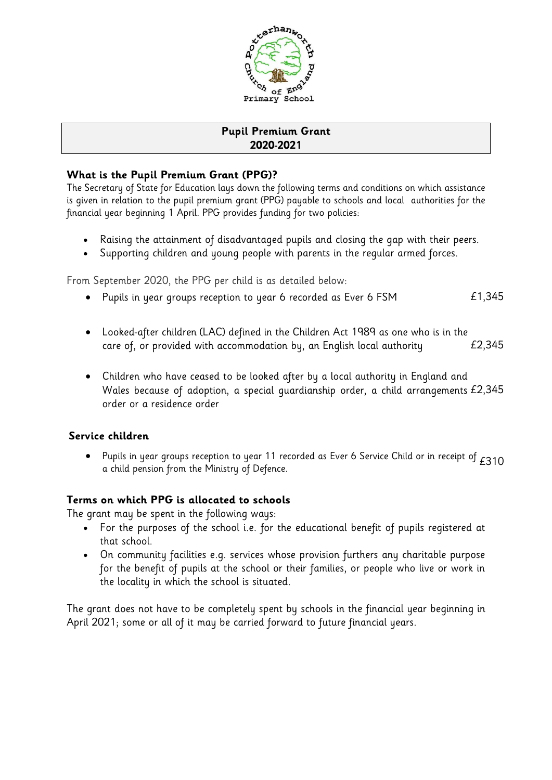

# **Pupil Premium Grant 2020-2021**

### **What is the Pupil Premium Grant (PPG)?**

The Secretary of State for Education lays down the following terms and conditions on which assistance is given in relation to the pupil premium grant (PPG) payable to schools and local authorities for the financial year beginning 1 April. PPG provides funding for two policies:

- Raising the attainment of disadvantaged pupils and closing the gap with their peers.
- Supporting children and young people with parents in the regular armed forces.

From September 2020, the PPG per child is as detailed below:

- Pupils in year groups reception to year 6 recorded as Ever 6 FSM  $E1,345$
- Looked-after children (LAC) defined in the Children Act 1989 as one who is in the care of, or provided with accommodation by, an English local authority  $E2,345$
- Children who have ceased to be looked after by a local authority in England and Wales because of adoption, a special guardianship order, a child arrangements £2,345 order or a residence order

## **Service children**

• Pupils in year groups reception to year 11 recorded as Ever 6 Service Child or in receipt of  $E310$ <br>a child pension from the Ministry of Defence.

### **Terms on which PPG is allocated to schools**

The grant may be spent in the following ways:

- For the purposes of the school i.e. for the educational benefit of pupils registered at that school.
- On community facilities e.g. services whose provision furthers any charitable purpose for the benefit of pupils at the school or their families, or people who live or work in the locality in which the school is situated.

The grant does not have to be completely spent by schools in the financial year beginning in April 2021; some or all of it may be carried forward to future financial years.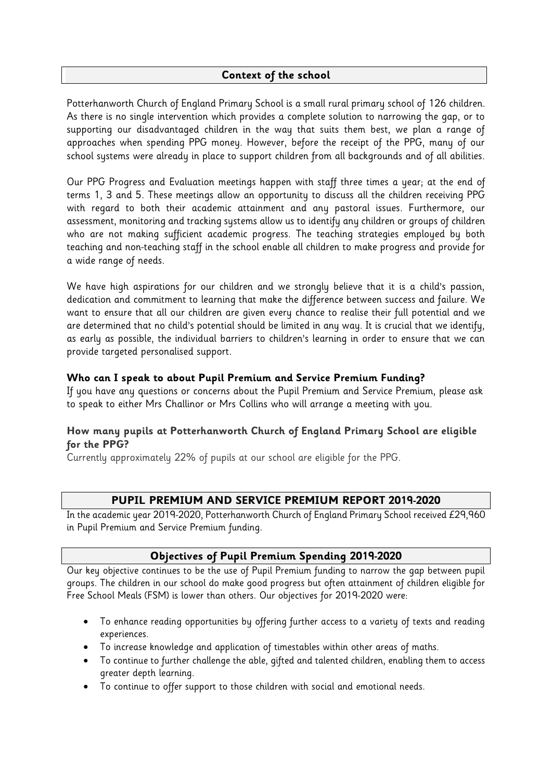#### **Context of the school**

Potterhanworth Church of England Primary School is a small rural primary school of 126 children. As there is no single intervention which provides a complete solution to narrowing the gap, or to supporting our disadvantaged children in the way that suits them best, we plan a range of approaches when spending PPG money. However, before the receipt of the PPG, many of our school systems were already in place to support children from all backgrounds and of all abilities.

Our PPG Progress and Evaluation meetings happen with staff three times a year; at the end of terms 1, 3 and 5. These meetings allow an opportunity to discuss all the children receiving PPG with regard to both their academic attainment and any pastoral issues. Furthermore, our assessment, monitoring and tracking systems allow us to identify any children or groups of children who are not making sufficient academic progress. The teaching strategies employed by both teaching and non-teaching staff in the school enable all children to make progress and provide for a wide range of needs.

We have high aspirations for our children and we strongly believe that it is a child's passion, dedication and commitment to learning that make the difference between success and failure. We want to ensure that all our children are given every chance to realise their full potential and we are determined that no child's potential should be limited in any way. It is crucial that we identify, as early as possible, the individual barriers to children's learning in order to ensure that we can provide targeted personalised support.

#### **Who can I speak to about Pupil Premium and Service Premium Funding?**

If you have any questions or concerns about the Pupil Premium and Service Premium, please ask to speak to either Mrs Challinor or Mrs Collins who will arrange a meeting with you.

### **How many pupils at Potterhanworth Church of England Primary School are eligible for the PPG?**

Currently approximately 22% of pupils at our school are eligible for the PPG.

### **PUPIL PREMIUM AND SERVICE PREMIUM REPORT 2019-2020**

In the academic year 2019-2020, Potterhanworth Church of England Primary School received £29,960 in Pupil Premium and Service Premium funding.

### **Objectives of Pupil Premium Spending 2019-2020**

Our key objective continues to be the use of Pupil Premium funding to narrow the gap between pupil groups. The children in our school do make good progress but often attainment of children eligible for Free School Meals (FSM) is lower than others. Our objectives for 2019-2020 were:

- To enhance reading opportunities by offering further access to a variety of texts and reading experiences.
- To increase knowledge and application of timestables within other areas of maths.
- To continue to further challenge the able, gifted and talented children, enabling them to access greater depth learning.
- To continue to offer support to those children with social and emotional needs.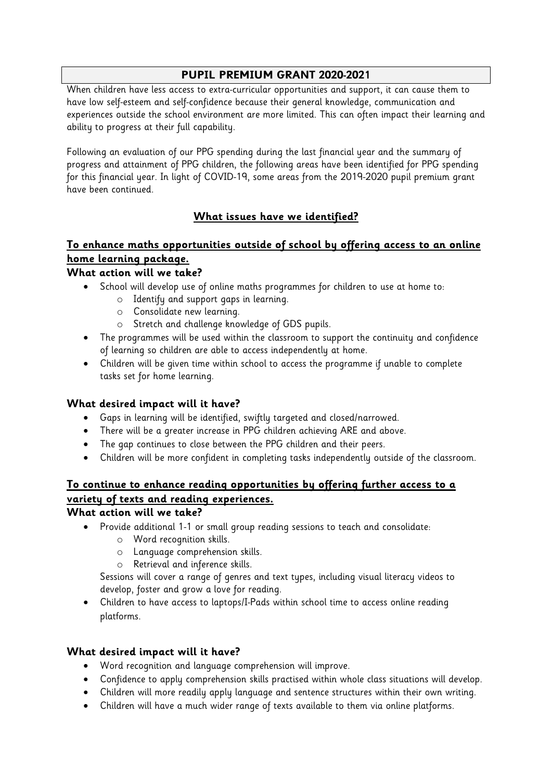### **PUPIL PREMIUM GRANT 2020-2021**

When children have less access to extra-curricular opportunities and support, it can cause them to have low self-esteem and self-confidence because their general knowledge, communication and experiences outside the school environment are more limited. This can often impact their learning and ability to progress at their full capability.

Following an evaluation of our PPG spending during the last financial year and the summary of progress and attainment of PPG children, the following areas have been identified for PPG spending for this financial year. In light of COVID-19, some areas from the 2019-2020 pupil premium grant have been continued.

# **What issues have we identified?**

# **To enhance maths opportunities outside of school by offering access to an online home learning package.**

# **What action will we take?**

- School will develop use of online maths programmes for children to use at home to:
	- o Identify and support gaps in learning.
	- o Consolidate new learning.
	- o Stretch and challenge knowledge of GDS pupils.
- The programmes will be used within the classroom to support the continuity and confidence of learning so children are able to access independently at home.
- Children will be given time within school to access the programme if unable to complete tasks set for home learning.

### **What desired impact will it have?**

- Gaps in learning will be identified, swiftly targeted and closed/narrowed.
- There will be a greater increase in PPG children achieving ARE and above.
- The gap continues to close between the PPG children and their peers.
- Children will be more confident in completing tasks independently outside of the classroom.

# **To continue to enhance reading opportunities by offering further access to a variety of texts and reading experiences.**

### **What action will we take?**

- Provide additional 1-1 or small group reading sessions to teach and consolidate:
	- o Word recognition skills.
	- o Language comprehension skills.
	- o Retrieval and inference skills.

Sessions will cover a range of genres and text types, including visual literacy videos to develop, foster and grow a love for reading.

 Children to have access to laptops/I-Pads within school time to access online reading platforms.

### **What desired impact will it have?**

- Word recognition and language comprehension will improve.
- Confidence to apply comprehension skills practised within whole class situations will develop.
- Children will more readily apply language and sentence structures within their own writing.
- Children will have a much wider range of texts available to them via online platforms.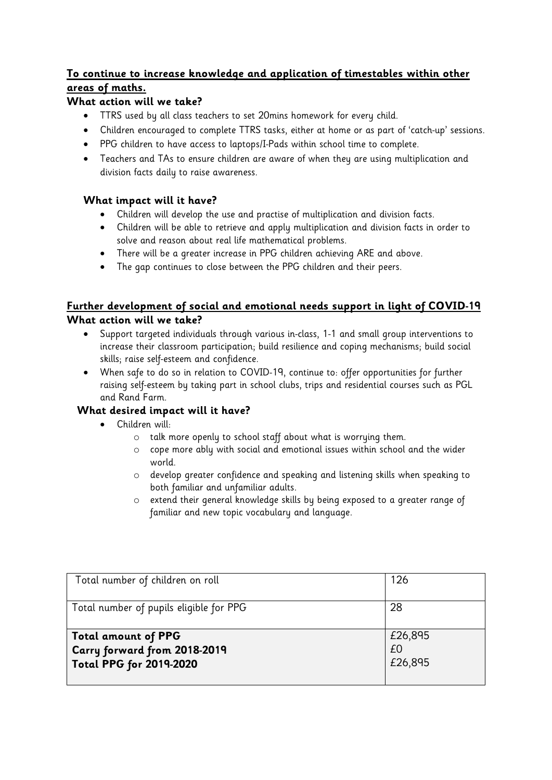## **To continue to increase knowledge and application of timestables within other areas of maths.**

### **What action will we take?**

- TTRS used by all class teachers to set 20mins homework for every child.
- Children encouraged to complete TTRS tasks, either at home or as part of 'catch-up' sessions.
- PPG children to have access to laptops/I-Pads within school time to complete.
- Teachers and TAs to ensure children are aware of when they are using multiplication and division facts daily to raise awareness.

### **What impact will it have?**

- Children will develop the use and practise of multiplication and division facts.
- Children will be able to retrieve and apply multiplication and division facts in order to solve and reason about real life mathematical problems.
- There will be a greater increase in PPG children achieving ARE and above.
- The gap continues to close between the PPG children and their peers.

### **Further development of social and emotional needs support in light of COVID-19 What action will we take?**

- Support targeted individuals through various in-class, 1-1 and small group interventions to increase their classroom participation; build resilience and coping mechanisms; build social skills; raise self-esteem and confidence.
- When safe to do so in relation to COVID-19, continue to: offer opportunities for further raising self-esteem by taking part in school clubs, trips and residential courses such as PGL and Rand Farm.

## **What desired impact will it have?**

- Children will:
	- o talk more openly to school staff about what is worrying them.
	- o cope more ably with social and emotional issues within school and the wider world.
	- o develop greater confidence and speaking and listening skills when speaking to both familiar and unfamiliar adults.
	- o extend their general knowledge skills by being exposed to a greater range of familiar and new topic vocabulary and language.

| Total number of children on roll        | 126     |
|-----------------------------------------|---------|
| Total number of pupils eligible for PPG | 28      |
| <b>Total amount of PPG</b>              | £26,895 |
| Carry forward from 2018-2019            | £0      |
| <b>Total PPG for 2019-2020</b>          | £26,895 |
|                                         |         |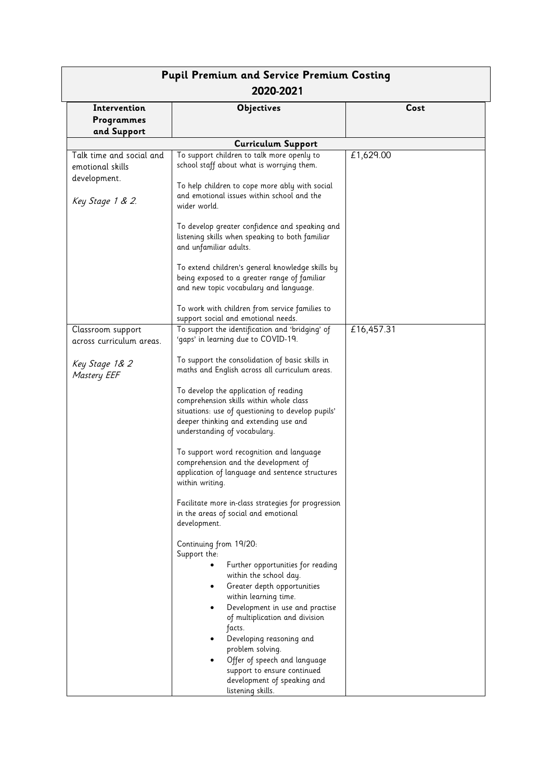| <b>Pupil Premium and Service Premium Costing</b><br>2020-2021                    |                                                                                                                                                                                                                                                                                                   |            |  |  |
|----------------------------------------------------------------------------------|---------------------------------------------------------------------------------------------------------------------------------------------------------------------------------------------------------------------------------------------------------------------------------------------------|------------|--|--|
| Intervention<br>Programmes<br>and Support                                        | <b>Objectives</b>                                                                                                                                                                                                                                                                                 | Cost       |  |  |
|                                                                                  | <b>Curriculum Support</b>                                                                                                                                                                                                                                                                         |            |  |  |
| Talk time and social and<br>emotional skills<br>development.<br>Key Stage 1 & 2. | To support children to talk more openly to<br>school staff about what is worrying them.<br>To help children to cope more ably with social<br>and emotional issues within school and the<br>wider world.                                                                                           | £1,629.00  |  |  |
|                                                                                  | To develop greater confidence and speaking and<br>listening skills when speaking to both familiar<br>and unfamiliar adults.                                                                                                                                                                       |            |  |  |
|                                                                                  | To extend children's general knowledge skills by<br>being exposed to a greater range of familiar<br>and new topic vocabulary and language.                                                                                                                                                        |            |  |  |
|                                                                                  | To work with children from service families to<br>support social and emotional needs.                                                                                                                                                                                                             |            |  |  |
| Classroom support                                                                | To support the identification and 'bridging' of                                                                                                                                                                                                                                                   | £16,457.31 |  |  |
| across curriculum areas.                                                         | 'gaps' in learning due to COVID-19.                                                                                                                                                                                                                                                               |            |  |  |
| Key Stage 1& 2<br><b>Mastery EEF</b>                                             | To support the consolidation of basic skills in<br>maths and English across all curriculum areas.                                                                                                                                                                                                 |            |  |  |
|                                                                                  | To develop the application of reading<br>comprehension skills within whole class<br>situations: use of questioning to develop pupils'<br>deeper thinking and extending use and<br>understanding of vocabulary.                                                                                    |            |  |  |
|                                                                                  | To support word recognition and language<br>comprehension and the development of<br>application of language and sentence structures<br>within writing.                                                                                                                                            |            |  |  |
|                                                                                  | Facilitate more in-class strategies for progression<br>in the areas of social and emotional<br>development.                                                                                                                                                                                       |            |  |  |
|                                                                                  | Continuing from 19/20:<br>Support the:<br>Further opportunities for reading<br>within the school day.<br>Greater depth opportunities<br>٠<br>within learning time.<br>Development in use and practise<br>of multiplication and division<br>facts.<br>Developing reasoning and<br>problem solving. |            |  |  |
|                                                                                  | Offer of speech and language<br>support to ensure continued<br>development of speaking and<br>listening skills.                                                                                                                                                                                   |            |  |  |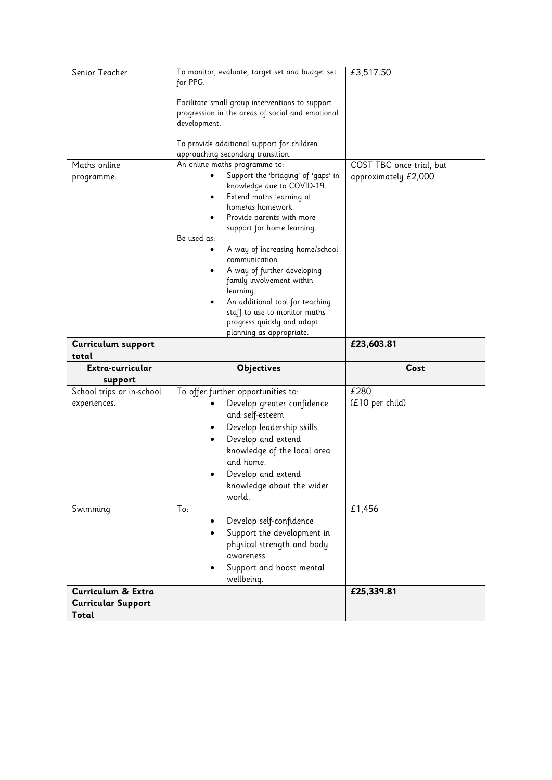| Senior Teacher                                       | To monitor, evaluate, target set and budget set<br>for PPG.<br>Facilitate small group interventions to support<br>progression in the areas of social and emotional<br>development.<br>To provide additional support for children                                                                                                                                                                                                                              | £3,517.50                |
|------------------------------------------------------|---------------------------------------------------------------------------------------------------------------------------------------------------------------------------------------------------------------------------------------------------------------------------------------------------------------------------------------------------------------------------------------------------------------------------------------------------------------|--------------------------|
| Maths online                                         | approaching secondary transition.<br>An online maths programme to:                                                                                                                                                                                                                                                                                                                                                                                            | COST TBC once trial, but |
| programme.                                           | Support the 'bridging' of 'gaps' in<br>knowledge due to COVID-19.<br>Extend maths learning at<br>٠<br>home/as homework.<br>Provide parents with more<br>support for home learning.<br>Be used as:<br>A way of increasing home/school<br>communication.<br>A way of further developing<br>family involvement within<br>learning.<br>An additional tool for teaching<br>staff to use to monitor maths<br>progress quickly and adapt<br>planning as appropriate. | approximately £2,000     |
| Curriculum support                                   |                                                                                                                                                                                                                                                                                                                                                                                                                                                               | £23,603.81               |
| total                                                |                                                                                                                                                                                                                                                                                                                                                                                                                                                               |                          |
| Extra-curricular                                     | <b>Objectives</b>                                                                                                                                                                                                                                                                                                                                                                                                                                             | Cost                     |
| support<br>School trips or in-school<br>experiences. | To offer further opportunities to:<br>Develop greater confidence<br>and self-esteem<br>Develop leadership skills.<br>٠<br>Develop and extend<br>knowledge of the local area<br>and home.<br>Develop and extend<br>knowledge about the wider<br>world.                                                                                                                                                                                                         | £280<br>(£10 per child)  |
| Swimming                                             | To:<br>Develop self-confidence<br>Support the development in<br>physical strength and body<br>awareness<br>Support and boost mental<br>wellbeing.                                                                                                                                                                                                                                                                                                             | £1,456                   |